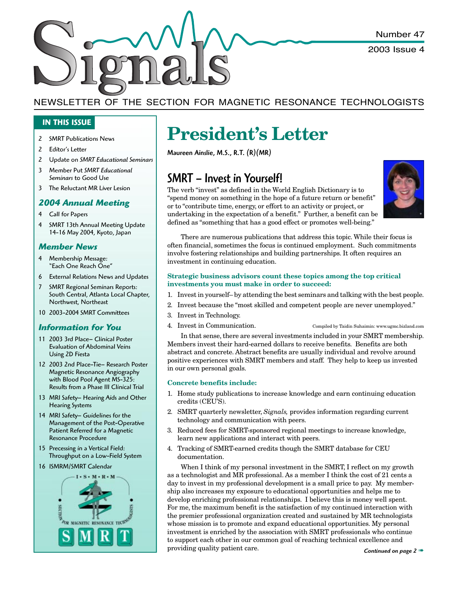Number 47

2003 Issue 4

### NEWSLETTER OF THE SECTION FOR MAGNETIC RESONANCE TECHNOLOGISTS

#### **IN THIS ISSUE**

- 2 SMRT Publications News
- 2 Editor's Letter
- 2 Update on *SMRT Educational Seminars*
- 3 Member Put *SMRT Educational Seminars* to Good Use
- 3 The Reluctant MR Liver Lesion

#### *2004 Annual Meeting*

- 4 Call for Papers
- 4 SMRT 13th Annual Meeting Update 14-16 May 2004, Kyoto, Japan

#### *Member News*

- 4 Membership Message: "Each One Reach One"
- 6 External Relations News and Updates
- 7 SMRT Regional Seminars Reports: South Central, Atlanta Local Chapter, Northwest, Northeast
- 10 2003-2004 SMRT Committees

#### *Information for You*

- 11 2003 3rd Place– Clinical Poster Evaluation of Abdominal Veins Using 2D Fiesta
- 12 2003 2nd Place-Tie– Research Poster Magnetic Resonance Angiography with Blood Pool Agent MS-325: Results from a Phase III Clinical Trial
- 13 MRI Safety– Hearing Aids and Other Hearing Systems
- 14 MRI Safety– Guidelines for the Management of the Post-Operative Patient Referred for a Magnetic Resonance Procedure
- 15 Precessing in a Vertical Field: Throughput on a Low-Field System
- 16 ISMRM/SMRT Calendar



# **President's Letter**

Maureen Ainslie, M.S., R.T. (R)(MR)

### SMRT – Invest in Yourself!

The verb "invest" as defined in the World English Dictionary is to "spend money on something in the hope of a future return or benefit" or to "contribute time, energy, or effort to an activity or project, or undertaking in the expectation of a benefit." Further, a benefit can be defined as "something that has a good effect or promotes well-being."



There are numerous publications that address this topic. While their focus is often financial, sometimes the focus is continued employment. Such commitments involve fostering relationships and building partnerships. It often requires an investment in continuing education.

#### **Strategic business advisors count these topics among the top critical investments you must make in order to succeed:**

- 1. Invest in yourself– by attending the best seminars and talking with the best people.
- 2. Invest because the "most skilled and competent people are never unemployed."
- 3. Invest in Technology.
- 4. Invest in Communication. Compiled by Taidin Suhaimin: www.ugmc.bizland.com

In that sense, there are several investments included in your SMRT membership. Members invest their hard-earned dollars to receive benefits. Benefits are both abstract and concrete. Abstract benefits are usually individual and revolve around positive experiences with SMRT members and staff. They help to keep us invested in our own personal goals.

#### **Concrete benefits include:**

- 1. Home study publications to increase knowledge and earn continuing education credits (CEU'S).
- 2. SMRT quarterly newsletter, *Signals,* provides information regarding current technology and communication with peers.
- 3. Reduced fees for SMRT-sponsored regional meetings to increase knowledge, learn new applications and interact with peers.
- 4. Tracking of SMRT-earned credits though the SMRT database for CEU documentation.

When I think of my personal investment in the SMRT, I reflect on my growth as a technologist and MR professional. As a member I think the cost of 21 cents a day to invest in my professional development is a small price to pay. My membership also increases my exposure to educational opportunities and helps me to develop enriching professional relationships. I believe this is money well spent. For me, the maximum benefit is the satisfaction of my continued interaction with the premier professional organization created and sustained by MR technologists whose mission is to promote and expand educational opportunities. My personal investment is enriched by the association with SMRT professionals who continue to support each other in our common goal of reaching technical excellence and providing quality patient care.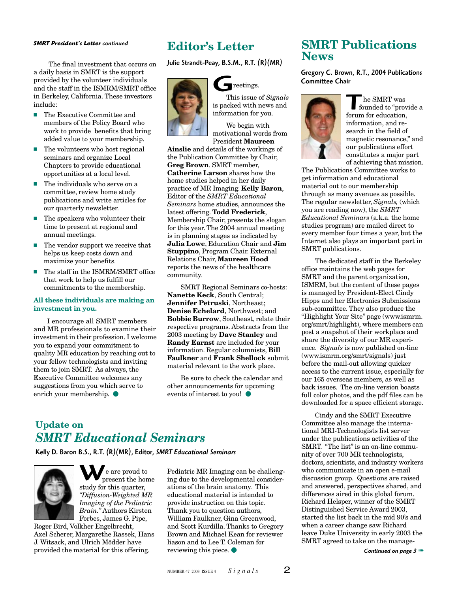#### *SMRT President's Letter continued*

The final investment that occurs on a daily basis in SMRT is the support provided by the volunteer individuals and the staff in the ISMRM/SMRT office in Berkeley, California. These investors include:

- The Executive Committee and members of the Policy Board who work to provide benefits that bring added value to your membership.
- $\blacksquare$  The volunteers who host regional seminars and organize Local Chapters to provide educational opportunities at a local level.
- $\blacksquare$  The individuals who serve on a committee, review home study publications and write articles for our quarterly newsletter.
- The speakers who volunteer their time to present at regional and annual meetings.
- $\blacksquare$  The vendor support we receive that helps us keep costs down and maximize your benefits.
- The staff in the ISMRM/SMRT office that work to help us fulfill our commitments to the membership.

#### **All these individuals are making an investment in you.**

I encourage all SMRT members and MR professionals to examine their investment in their profession. I welcome you to expand your commitment to quality MR education by reaching out to your fellow technologists and inviting them to join SMRT. As always, the Executive Committee welcomes any suggestions from you which serve to enrich your membership.  $\bullet$ 

### **Editor's Letter**

Julie Strandt-Peay, B.S.M., R.T. (R)(MR)



reetings.

G This issue of *Signals* is packed with news and information for you.

We begin with motivational words from President **Maureen**

**Ainslie** and details of the workings of the Publication Committee by Chair, **Greg Brown**. SMRT member, **Catherine Larson** shares how the home studies helped in her daily practice of MR Imaging. **Kelly Baron**, Editor of the *SMRT Educational Seminars* home studies, announces the latest offering. **Todd Frederick**, Membership Chair, presents the slogan for this year. The 2004 annual meeting is in planning stages as indicated by **Julia Lowe**, Education Chair and **Jim Stuppino**, Program Chair. External Relations Chair, **Maureen Hood** reports the news of the healthcare community.

SMRT Regional Seminars co-hosts: **Nanette Keck**, South Central; **Jennifer Petruski**, Northeast; **Denise Echelard**, Northwest; and **Bobbie Burrow**, Southeast, relate their respective programs. Abstracts from the 2003 meeting by **Dave Stanley** and **Randy Earnst** are included for your information. Regular columnists, **Bill Faulkner** and **Frank Shellock** submit material relevant to the work place.

Be sure to check the calendar and other announcements for upcoming events of interest to you!  $\bullet$ 

### **Update on** *SMRT Educational Seminars*

Kelly D. Baron B.S., R.T. (R)(MR), Editor, *SMRT Educational Seminars*



 $\mathbf{W}_{\mathrm{p}}$ **A** e are proud to **Present the home** study for this quarter, *"Diffusion-Weighted MR Imaging of the Pediatric Brain."* Authors Kirsten Forbes, James G. Pipe,

Roger Bird, Volkher Engelbrecht, Axel Scherer, Margarethe Rassek, Hans J. Witsack, and Ulrich Mödder have provided the material for this offering.

Pediatric MR Imaging can be challenging due to the developmental considerations of the brain anatomy. This educational material is intended to provide instruction on this topic. Thank you to question authors, William Faulkner, Gina Greenwood, and Scott Kurdilla. Thanks to Gregory Brown and Michael Kean for reviewer liason and to Lee T. Coleman for reviewing this piece.  $\bullet$ 

### **SMRT Publications News**

Gregory C. Brown, R.T., 2004 Publications Committee Chair



The SMRT was<br>founded to "provide a<br>forum for education. forum for education, information, and research in the field of magnetic resonance," and our publications effort constitutes a major part of achieving that mission.

The Publications Committee works to get information and educational material out to our membership through as many avenues as possible. The regular newsletter, *Signals,* (which you are reading now), the *SMRT Educational Seminars* (a.k.a. the home studies program) are mailed direct to every member four times a year, but the Internet also plays an important part in SMRT publications.

The dedicated staff in the Berkeley office maintains the web pages for SMRT and the parent organization, ISMRM, but the content of these pages is managed by President-Elect Cindy Hipps and her Electronics Submissions sub-committee. They also produce the "Highlight Your Site" page (www.ismrm. org/smrt/highlight), where members can post a snapshot of their workplace and share the diversity of our MR experience. *Signals* is now published on-line (www.ismrm.org/smrt/signals) just before the mail-out allowing quicker access to the current issue, especially for our 165 overseas members, as well as back issues. The on-line version boasts full color photos, and the pdf files can be downloaded for a space efficient storage.

Cindy and the SMRT Executive Committee also manage the international MRI-Technologists list server under the publications activities of the SMRT. "The list" is an on-line community of over 700 MR technologists, doctors, scientists, and industry workers who communicate in an open e-mail discussion group. Questions are raised and answered, perspectives shared, and differences aired in this global forum. Richard Helsper, winner of the SMRT Distinguished Service Award 2003, started the list back in the mid 90's and when a career change saw Richard leave Duke University in early 2003 the SMRT agreed to take on the manage-

*Continued on page 3* ➠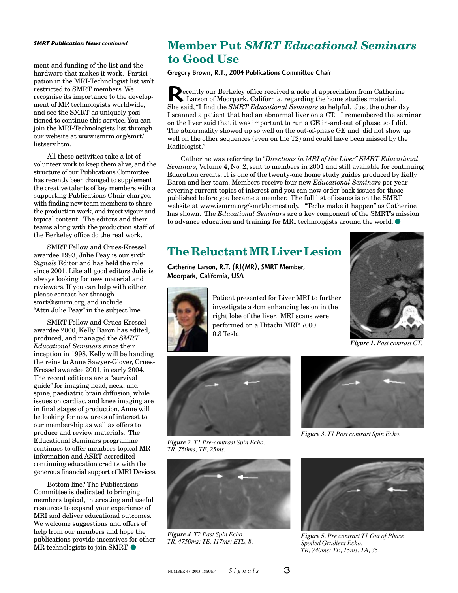#### *SMRT Publication News continued*

ment and funding of the list and the hardware that makes it work. Participation in the MRI-Technologist list isn't restricted to SMRT members. We recognise its importance to the development of MR technologists worldwide, and see the SMRT as uniquely positioned to continue this service. You can join the MRI-Technologists list through our website at www.ismrm.org/smrt/ listserv.htm.

All these activities take a lot of volunteer work to keep them alive, and the structure of our Publications Committee has recently been changed to supplement the creative talents of key members with a supporting Publications Chair charged with finding new team members to share the production work, and inject vigour and topical content. The editors and their teams along with the production staff of the Berkeley office do the real work.

SMRT Fellow and Crues-Kressel awardee 1993, Julie Peay is our sixth *Signals* Editor and has held the role since 2001. Like all good editors Julie is always looking for new material and reviewers. If you can help with either, please contact her through smrt@ismrm.org, and include "Attn Julie Peay" in the subject line.

SMRT Fellow and Crues-Kressel awardee 2000, Kelly Baron has edited, produced, and managed the *SMRT Educational Seminars* since their inception in 1998. Kelly will be handing the reins to Anne Sawyer-Glover, Crues-Kressel awardee 2001, in early 2004. The recent editions are a "survival guide" for imaging head, neck, and spine, paediatric brain diffusion, while issues on cardiac, and knee imaging are in final stages of production. Anne will be looking for new areas of interest to our membership as well as offers to produce and review materials. The Educational Seminars programme continues to offer members topical MR information and ASRT accredited continuing education credits with the generous financial support of MRI Devices.

Bottom line? The Publications Committee is dedicated to bringing members topical, interesting and useful resources to expand your experience of MRI and deliver educational outcomes. We welcome suggestions and offers of help from our members and hope the publications provide incentives for other  $MR$  technologists to join SMRT.  $\bullet$ 

### **Member Put** *SMRT Educational Seminars* **to Good Use**

Gregory Brown, R.T., 2004 Publications Committee Chair

Executly our Berkeley office received a note of appreciation from Catherine<br>Larson of Moorpark, California, regarding the home studies material.<br>She said. "I find the SMRT Educational Seminars so helpful. Just the other da Larson of Moorpark, California, regarding the home studies material. She said, "I find the *SMRT Educational Seminars* so helpful. Just the other day I scanned a patient that had an abnormal liver on a CT. I remembered the seminar on the liver said that it was important to run a GE in-and-out of phase, so I did. The abnormality showed up so well on the out-of-phase GE and did not show up well on the other sequences (even on the T2) and could have been missed by the Radiologist."

Catherine was referring to *"Directions in MRI of the Liver" SMRT Educational Seminars,* Volume 4, No. 2, sent to members in 2001 and still available for continuing Education credits. It is one of the twenty-one home study guides produced by Kelly Baron and her team. Members receive four new *Educational Seminars* per year covering current topics of interest and you can now order back issues for those published before you became a member. The full list of issues is on the SMRT website at www.ismrm.org/smrt/homestudy. "Techs make it happen" as Catherine has shown. The *Educational Seminars* are a key component of the SMRT's mission to advance education and training for MRI technologists around the world.  $\bullet$ 

### **The Reluctant MR Liver Lesion**

Catherine Larson, R.T. (R)(MR), SMRT Member, Moorpark, California, USA



Patient presented for Liver MRI to further investigate a 4cm enhancing lesion in the right lobe of the liver. MRI scans were performed on a Hitachi MRP 7000. 0.3 Tesla.



*Figure 1. Post contrast CT.*



*Figure 2. T1 Pre-contrast Spin Echo. TR, 750ms; TE, 25ms.*



*Figure 4. T2 Fast Spin Echo. TR, 4750ms; TE, 117ms; ETL, 8.*



*Figure 3. T1 Post contrast Spin Echo.*



*Figure 5. Pre contrast T1 Out of Phase Spoiled Gradient Echo. TR, 740ms; TE, 15ms: FA, 35.*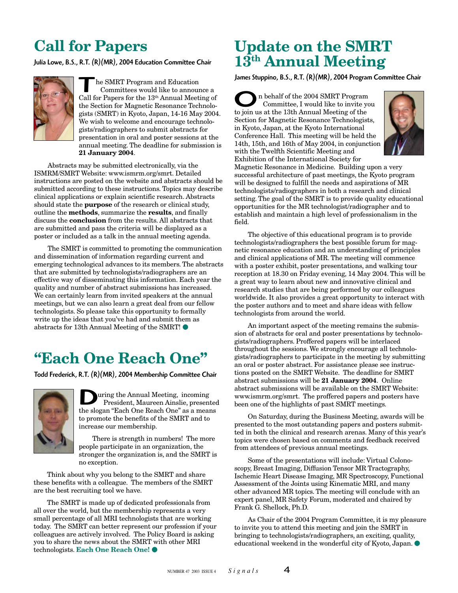# **Call for Papers**

Julia Lowe, B.S., R.T. (R)(MR), 2004 Education Committee Chair



he SMRT Program and Education Committees would like to announce a Call for Papers for the 13th Annual Meeting of the Section for Magnetic Resonance Technologists (SMRT) in Kyoto, Japan, 14-16 May 2004. We wish to welcome and encourage technologists/radiographers to submit abstracts for presentation in oral and poster sessions at the annual meeting. The deadline for submission is **21 January 2004**.

Abstracts may be submitted electronically, via the ISMRM/SMRT Website: www.ismrm.org/smrt. Detailed instructions are posted on the website and abstracts should be submitted according to these instructions. Topics may describe clinical applications or explain scientific research. Abstracts should state the **purpose** of the research or clinical study, outline the **methods**, summarize the **results**, and finally discuss the **conclusion** from the results. All abstracts that are submitted and pass the criteria will be displayed as a poster or included as a talk in the annual meeting agenda.

The SMRT is committed to promoting the communication and dissemination of information regarding current and emerging technological advances to its members. The abstracts that are submitted by technologists/radiographers are an effective way of disseminating this information. Each year the quality and number of abstract submissions has increased. We can certainly learn from invited speakers at the annual meetings, but we can also learn a great deal from our fellow technologists. So please take this opportunity to formally write up the ideas that you've had and submit them as abstracts for 13th Annual Meeting of the SMRT!  $\bullet$ 

# **"Each One Reach One"**

Todd Frederick, R.T. (R)(MR), 2004 Membership Committee Chair



**D** uring the Annual Meeting, incoming<br>President, Maureen Ainslie, presente<br>the slogan "Each One Reach One" as a means uring the Annual Meeting, incoming President, Maureen Ainslie, presented to promote the benefits of the SMRT and to increase our membership.

There is strength in numbers! The more people participate in an organization, the stronger the organization is, and the SMRT is no exception.

Think about why you belong to the SMRT and share these benefits with a colleague. The members of the SMRT are the best recruiting tool we have.

The SMRT is made up of dedicated professionals from all over the world, but the membership represents a very small percentage of all MRI technologists that are working today. The SMRT can better represent our profession if your colleagues are actively involved. The Policy Board is asking you to share the news about the SMRT with other MRI technologists. **Each One Reach One!** 

# **Update on the SMRT 13th Annual Meeting**

James Stuppino, B.S., R.T. (R)(MR), 2004 Program Committee Chair

 n behalf of the 2004 SMRT Program Committee, I would like to invite you **OF ALTER 18** In behalf of the 2004 SMRT Program Committee, I would like to invite y to join us at the 13th Annual Meeting of the Section for Magnetic Resonance Technologists, in Kyoto, Japan, at the Kyoto International Conference Hall. This meeting will be held the 14th, 15th, and 16th of May 2004, in conjunction with the Twelfth Scientific Meeting and Exhibition of the International Society for



Magnetic Resonance in Medicine. Building upon a very successful architecture of past meetings, the Kyoto program will be designed to fulfill the needs and aspirations of MR technologists/radiographers in both a research and clinical setting. The goal of the SMRT is to provide quality educational opportunities for the MR technologist/radiographer and to establish and maintain a high level of professionalism in the field.

The objective of this educational program is to provide technologists/radiographers the best possible forum for magnetic resonance education and an understanding of principles and clinical applications of MR. The meeting will commence with a poster exhibit, poster presentations, and walking tour reception at 18.30 on Friday evening, 14 May 2004. This will be a great way to learn about new and innovative clinical and research studies that are being performed by our colleagues worldwide. It also provides a great opportunity to interact with the poster authors and to meet and share ideas with fellow technologists from around the world.

An important aspect of the meeting remains the submission of abstracts for oral and poster presentations by technologists/radiographers. Proffered papers will be interlaced throughout the sessions. We strongly encourage all technologists/radiographers to participate in the meeting by submitting an oral or poster abstract. For assistance please see instructions posted on the SMRT Website. The deadline for SMRT abstract submissions will be **21 January 2004**. Online abstract submissions will be available on the SMRT Website: www.ismrm.org/smrt. The proffered papers and posters have been one of the highlights of past SMRT meetings.

On Saturday, during the Business Meeting, awards will be presented to the most outstanding papers and posters submitted in both the clinical and research arenas. Many of this year's topics were chosen based on comments and feedback received from attendees of previous annual meetings.

Some of the presentations will include: Virtual Colonoscopy, Breast Imaging, Diffusion Tensor MR Tractography, Ischemic Heart Disease Imaging, MR Spectroscopy, Functional Assessment of the Joints using Kinematic MRI, and many other advanced MR topics. The meeting will conclude with an expert panel, MR Safety Forum, moderated and chaired by Frank G. Shellock, Ph.D.

As Chair of the 2004 Program Committee, it is my pleasure to invite you to attend this meeting and join the SMRT in bringing to technologists/radiographers, an exciting, quality, educational weekend in the wonderful city of Kyoto, Japan.  $\bullet$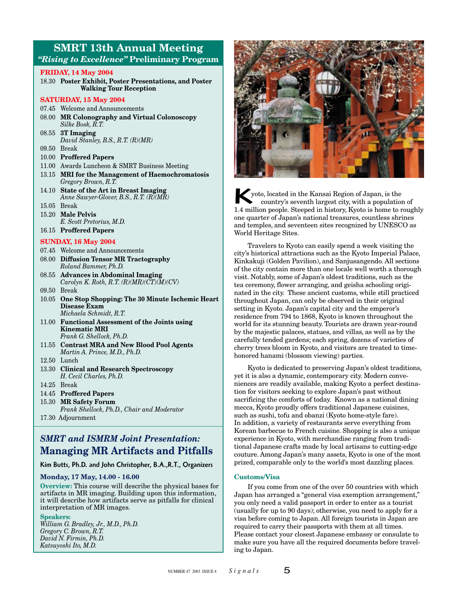### **SMRT 13th Annual Meeting** *"Rising to Excellence"* **Preliminary Program**

#### **FRIDAY, 14 May 2004**

18.30 **Poster Exhibit, Poster Presentations, and Poster Walking Tour Reception**

#### **SATURDAY, 15 May 2004**

- 07.45 Welcome and Announcements
- 08.00 **MR Colonography and Virtual Colonoscopy** *Silke Bosk, R.T.*
- 08.55 **3T Imaging** *David Stanley, B.S., R.T. (R)(MR)*
- 09.50 Break
- 10.00 **Proffered Papers**
- 11.00 Awards Luncheon & SMRT Business Meeting
- 13.15 **MRI for the Management of Haemochromatosis** *Gregory Brown, R.T.*
- 14.10 **State of the Art in Breast Imaging** *Anne Sawyer-Glover, B.S., R.T. (R)(MR)*
- 15.05 Break
- 15.20 **Male Pelvis**
- *E. Scott Pretorius, M.D.*
- 16.15 **Proffered Papers**

#### **SUNDAY, 16 May 2004**

- 07.45 Welcome and Announcements
- 08.00 **Diffusion Tensor MR Tractography** *Roland Bammer, Ph.D.*
- 08.55 **Advances in Abdominal Imaging** *Carolyn K. Roth, R.T. (R)(MR)(CT)(M)(CV)*
- 09.50 Break
- 10.05 **One Stop Shopping: The 30 Minute Ischemic Heart Disease Exam** *Michaela Schmidt, R.T.*
- 11.00 **Functional Assessment of the Joints using Kinematic MRI** *Frank G. Shellock, Ph.D.*
- 11.55 **Contrast MRA and New Blood Pool Agents** *Martin A. Prince, M.D., Ph.D.*
- 12.50 Lunch
- 13.30 **Clinical and Research Spectroscopy** *H. Cecil Charles, Ph.D.*
- 14.25 Break
- 14.45 **Proffered Papers**
- 15.30 **MR Safety Forum**
- *Frank Shellock, Ph.D., Chair and Moderator* 17.30 Adjournment

### *SMRT and ISMRM Joint Presentation:* **Managing MR Artifacts and Pitfalls**

#### Kim Butts, Ph.D. and John Christopher, B.A.,R.T., Organizers

#### **Monday, 17 May, 14.00 - 16.00**

**Overview:** This course will describe the physical bases for artifacts in MR imaging. Building upon this information, it will describe how artifacts serve as pitfalls for clinical interpretation of MR images.

#### **Speakers:**

*William G. Bradley, Jr., M.D., Ph.D. Gregory C. Brown, R.T. David N. Firmin, Ph.D. Katsuyoshi Ito, M.D.*



Superiories of Japan, is the country's seventh largest city, with a population of 1.4 million people. Steeped in history, Kyoto is home to roughly yoto, located in the Kansai Region of Japan, is the country's seventh largest city, with a population of one quarter of Japan's national treasures, countless shrines and temples, and seventeen sites recognized by UNESCO as World Heritage Sites.

Travelers to Kyoto can easily spend a week visiting the city's historical attractions such as the Kyoto Imperial Palace, Kinkakuji (Golden Pavilion), and Sanjusangendo. All sections of the city contain more than one locale well worth a thorough visit. Notably, some of Japan's oldest traditions, such as the tea ceremony, flower arranging, and geisha schooling originated in the city. These ancient customs, while still practiced throughout Japan, can only be observed in their original setting in Kyoto. Japan's capital city and the emperor's residence from 794 to 1868, Kyoto is known throughout the world for its stunning beauty. Tourists are drawn year-round by the majestic palaces, statues, and villas, as well as by the carefully tended gardens; each spring, dozens of varieties of cherry trees bloom in Kyoto, and visitors are treated to timehonored hanami (blossom viewing) parties.

Kyoto is dedicated to preserving Japan's oldest traditions, yet it is also a dynamic, contemporary city. Modern conveniences are readily available, making Kyoto a perfect destination for visitors seeking to explore Japan's past without sacrificing the comforts of today. Known as a national dining mecca, Kyoto proudly offers traditional Japanese cuisines, such as sushi, tofu and obanzi (Kyoto home-style fare). In addition, a variety of restaurants serve everything from Korean barbecue to French cuisine. Shopping is also a unique experience in Kyoto, with merchandise ranging from traditional Japanese crafts made by local artisans to cutting-edge couture. Among Japan's many assets, Kyoto is one of the most prized, comparable only to the world's most dazzling places.

#### **Customs/Visa**

If you come from one of the over 50 countries with which Japan has arranged a "general visa exemption arrangement," you only need a valid passport in order to enter as a tourist (usually for up to 90 days); otherwise, you need to apply for a visa before coming to Japan. All foreign tourists in Japan are required to carry their passports with them at all times. Please contact your closest Japanese embassy or consulate to make sure you have all the required documents before traveling to Japan.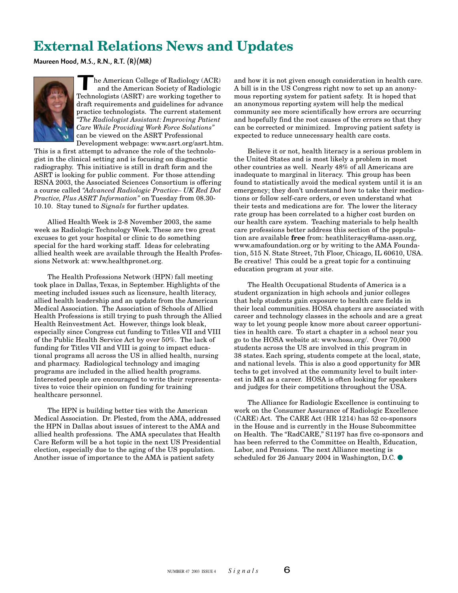# **External Relations News and Updates**

Maureen Hood, M.S., R.N., R.T. (R)(MR)



The American College of Radiology (ACR)<br>and the American Society of Radiologic<br>Technologists (ASRT) are working together to he American College of Radiology (ACR) and the American Society of Radiologic draft requirements and guidelines for advance practice technologists. The current statement *"The Radiologist Assistant: Improving Patient Care While Providing Work Force Solutions"* can be viewed on the ASRT Professional

Development webpage: www.asrt.org/asrt.htm. This is a first attempt to advance the role of the technologist in the clinical setting and is focusing on diagnostic radiography. This initiative is still in draft form and the ASRT is looking for public comment. For those attending RSNA 2003, the Associated Sciences Consortium is offering a course called *"Advanced Radiologic Practice– UK Red Dot Practice, Plus ASRT Information"* on Tuesday from 08.30- 10.10. Stay tuned to *Signals* for further updates.

Allied Health Week is 2-8 November 2003, the same week as Radiologic Technology Week. These are two great excuses to get your hospital or clinic to do something special for the hard working staff. Ideas for celebrating allied health week are available through the Health Professions Network at: www.healthpronet.org.

The Health Professions Network (HPN) fall meeting took place in Dallas, Texas, in September. Highlights of the meeting included issues such as licensure, health literacy, allied health leadership and an update from the American Medical Association. The Association of Schools of Allied Health Professions is still trying to push through the Allied Health Reinvestment Act. However, things look bleak, especially since Congress cut funding to Titles VII and VIII of the Public Health Service Act by over 50%. The lack of funding for Titles VII and VIII is going to impact educational programs all across the US in allied health, nursing and pharmacy. Radiological technology and imaging programs are included in the allied health programs. Interested people are encouraged to write their representatives to voice their opinion on funding for training healthcare personnel.

The HPN is building better ties with the American Medical Association. Dr. Plested, from the AMA, addressed the HPN in Dallas about issues of interest to the AMA and allied health professions. The AMA speculates that Health Care Reform will be a hot topic in the next US Presidential election, especially due to the aging of the US population. Another issue of importance to the AMA is patient safety

and how it is not given enough consideration in health care. A bill is in the US Congress right now to set up an anonymous reporting system for patient safety. It is hoped that an anonymous reporting system will help the medical community see more scientifically how errors are occurring and hopefully find the root causes of the errors so that they can be corrected or minimized. Improving patient safety is expected to reduce unnecessary health care costs.

Believe it or not, health literacy is a serious problem in the United States and is most likely a problem in most other countries as well. Nearly 48% of all Americans are inadequate to marginal in literacy. This group has been found to statistically avoid the medical system until it is an emergency; they don't understand how to take their medications or follow self-care orders, or even understand what their tests and medications are for. The lower the literacy rate group has been correlated to a higher cost burden on our health care system. Teaching materials to help health care professions better address this section of the population are available **free** from: heathliteracy@ama-assn.org, www.amafoundation.org or by writing to the AMA Foundation, 515 N. State Street, 7th Floor, Chicago, IL 60610, USA. Be creative! This could be a great topic for a continuing education program at your site.

The Health Occupational Students of America is a student organization in high schools and junior colleges that help students gain exposure to health care fields in their local communities. HOSA chapters are associated with career and technology classes in the schools and are a great way to let young people know more about career opportunities in health care. To start a chapter in a school near you go to the HOSA website at: www.hosa.org/. Over 70,000 students across the US are involved in this program in 38 states. Each spring, students compete at the local, state, and national levels. This is also a good opportunity for MR techs to get involved at the community level to built interest in MR as a career. HOSA is often looking for speakers and judges for their competitions throughout the USA.

The Alliance for Radiologic Excellence is continuing to work on the Consumer Assurance of Radiologic Excellence (CARE) Act. The CARE Act (HR 1214) has 52 co-sponsors in the House and is currently in the House Subcommittee on Health. The "RadCARE," S1197 has five co-sponsors and has been referred to the Committee on Health, Education, Labor, and Pensions. The next Alliance meeting is scheduled for 26 January 2004 in Washington, D.C.  $\bullet$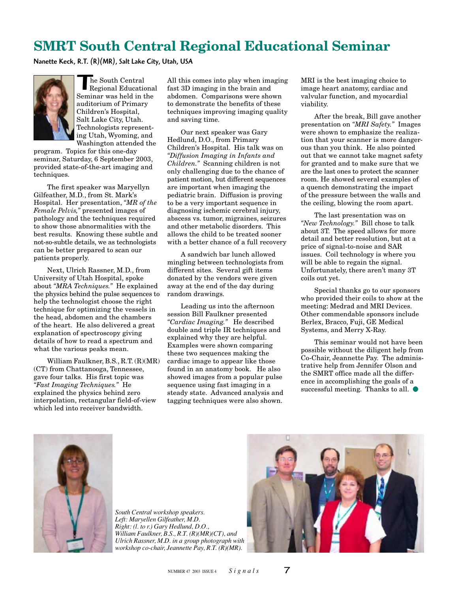# **SMRT South Central Regional Educational Seminar**

Nanette Keck, R.T. (R)(MR), Salt Lake City, Utah, USA



The South Central Regional Educational Seminar was held in the auditorium of Primary Children's Hospital, Salt Lake City, Utah. Technologists representing Utah, Wyoming, and Washington attended the

program. Topics for this one-day seminar, Saturday, 6 September 2003, provided state-of-the-art imaging and techniques.

The first speaker was Maryellyn Gilfeather, M.D., from St. Mark's Hospital. Her presentation, *"MR of the Female Pelvis,"* presented images of pathology and the techniques required to show those abnormalities with the best results. Knowing these subtle and not-so-subtle details, we as technologists can be better prepared to scan our patients properly.

Next, Ulrich Rassner, M.D., from University of Utah Hospital, spoke about *"MRA Techniques."* He explained the physics behind the pulse sequences to help the technologist choose the right technique for optimizing the vessels in the head, abdomen and the chambers of the heart. He also delivered a great explanation of spectroscopy giving details of how to read a spectrum and what the various peaks mean.

William Faulkner, B.S., R.T. (R)(MR) (CT) from Chattanooga, Tennessee, gave four talks. His first topic was *"Fast Imaging Techniques."* He explained the physics behind zero interpolation, rectangular field-of-view which led into receiver bandwidth.

All this comes into play when imaging fast 3D imaging in the brain and abdomen. Comparisons were shown to demonstrate the benefits of these techniques improving imaging quality and saving time.

Our next speaker was Gary Hedlund, D.O., from Primary Children's Hospital. His talk was on *"Diffusion Imaging in Infants and Children."* Scanning children is not only challenging due to the chance of patient motion, but different sequences are important when imaging the pediatric brain. Diffusion is proving to be a very important sequence in diagnosing ischemic cerebral injury, abscess vs. tumor, migraines, seizures and other metabolic disorders. This allows the child to be treated sooner with a better chance of a full recovery

A sandwich bar lunch allowed mingling between technologists from different sites. Several gift items donated by the vendors were given away at the end of the day during random drawings.

Leading us into the afternoon session Bill Faulkner presented *"Cardiac Imaging."* He described double and triple IR techniques and explained why they are helpful. Examples were shown comparing these two sequences making the cardiac image to appear like those found in an anatomy book. He also showed images from a popular pulse sequence using fast imaging in a steady state. Advanced analysis and tagging techniques were also shown.

MRI is the best imaging choice to image heart anatomy, cardiac and valvular function, and myocardial viability.

After the break, Bill gave another presentation on *"MRI Safety."* Images were shown to emphasize the realization that your scanner is more dangerous than you think. He also pointed out that we cannot take magnet safety for granted and to make sure that we are the last ones to protect the scanner room. He showed several examples of a quench demonstrating the impact of the pressure between the walls and the ceiling, blowing the room apart.

The last presentation was on *"New Technology."* Bill chose to talk about 3T. The speed allows for more detail and better resolution, but at a price of signal-to-noise and SAR issues. Coil technology is where you will be able to regain the signal. Unfortunately, there aren't many 3T coils out yet.

Special thanks go to our sponsors who provided their coils to show at the meeting: Medrad and MRI Devices. Other commendable sponsors include Berlex, Bracco, Fuji, GE Medical Systems, and Merry X-Ray.

This seminar would not have been possible without the diligent help from Co-Chair, Jeannette Pay. The administrative help from Jennifer Olson and the SMRT office made all the difference in accomplishing the goals of a successful meeting. Thanks to all.  $\bullet$ 



*South Central workshop speakers. Left: Maryellen Gilfeather, M.D. Right: (l. to r.) Gary Hedlund, D.O., William Faulkner, B.S., R.T. (R)(MR)(CT), and Ulrich Rassner, M.D. in a group photograph with workshop co-chair, Jeannette Pay, R.T. (R)(MR).*

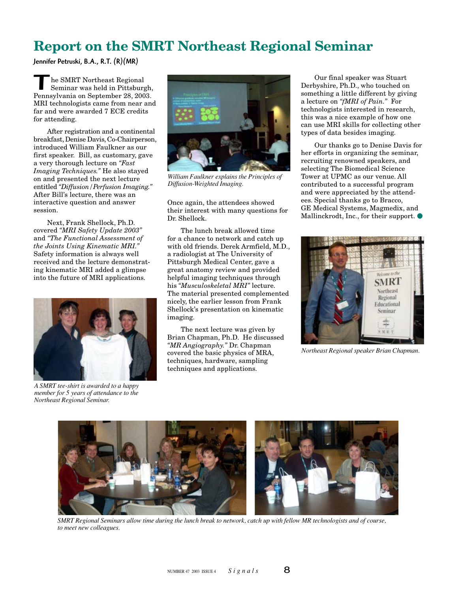# **Report on the SMRT Northeast Regional Seminar**

Jennifer Petruski, B.A., R.T. (R)(MR)

he SMRT Northeast Regional Seminar was held in Pittsburgh, Pennsylvania on September 28, 2003. MRI technologists came from near and far and were awarded 7 ECE credits for attending.

After registration and a continental breakfast, Denise Davis, Co-Chairperson, introduced William Faulkner as our first speaker. Bill, as customary, gave a very thorough lecture on *"Fast Imaging Techniques."* He also stayed on and presented the next lecture entitled *"Diffusion/Perfusion Imaging."* After Bill's lecture, there was an interactive question and answer session.

Next, Frank Shellock, Ph.D. covered *"MRI Safety Update 2003"* and *"The Functional Assessment of the Joints Using Kinematic MRI."* Safety information is always well received and the lecture demonstrating kinematic MRI added a glimpse into the future of MRI applications.



*A SMRT tee-shirt is awarded to a happy member for 5 years of attendance to the Northeast Regional Seminar.*



*William Faulkner explains the Principles of Diffusion-Weighted Imaging.*

Once again, the attendees showed their interest with many questions for Dr. Shellock.

The lunch break allowed time for a chance to network and catch up with old friends. Derek Armfield, M.D., a radiologist at The University of Pittsburgh Medical Center, gave a great anatomy review and provided helpful imaging techniques through his *"Musculoskeletal MRI"* lecture. The material presented complemented nicely, the earlier lesson from Frank Shellock's presentation on kinematic imaging.

The next lecture was given by Brian Chapman, Ph.D. He discussed *"MR Angiography."* Dr. Chapman covered the basic physics of MRA, techniques, hardware, sampling techniques and applications.

Our final speaker was Stuart Derbyshire, Ph.D., who touched on something a little different by giving a lecture on *"fMRI of Pain."* For technologists interested in research, this was a nice example of how one can use MRI skills for collecting other types of data besides imaging.

Our thanks go to Denise Davis for her efforts in organizing the seminar, recruiting renowned speakers, and selecting The Biomedical Science Tower at UPMC as our venue. All contributed to a successful program and were appreciated by the attendees. Special thanks go to Bracco, GE Medical Systems, Magmedix, and Mallinckrodt, Inc., for their support.  $\bullet$ 



*Northeast Regional speaker Brian Chapman.*



*SMRT Regional Seminars allow time during the lunch break to network, catch up with fellow MR technologists and of course, to meet new colleagues.*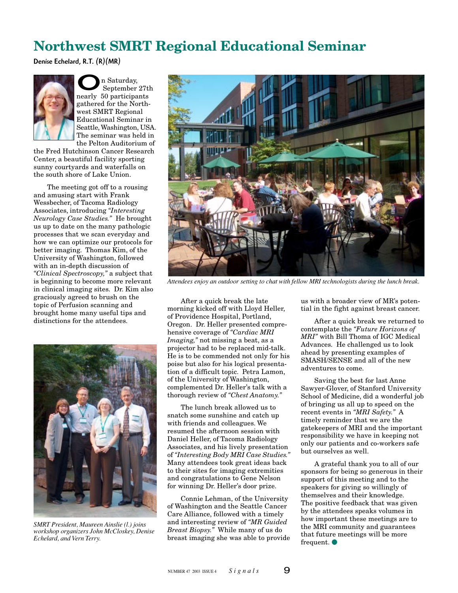# **Northwest SMRT Regional Educational Seminar**

Denise Echelard, R.T. (R)(MR)



 $\sum_{\text{September 27t}}$ n Saturday,<br>nearly 50 participants September 27th gathered for the Northwest SMRT Regional Educational Seminar in Seattle, Washington, USA. The seminar was held in the Pelton Auditorium of

the Fred Hutchinson Cancer Research Center, a beautiful facility sporting sunny courtyards and waterfalls on the south shore of Lake Union.

The meeting got off to a rousing and amusing start with Frank Wessbecher, of Tacoma Radiology Associates, introducing *"Interesting Neurology Case Studies."* He brought us up to date on the many pathologic processes that we scan everyday and how we can optimize our protocols for better imaging. Thomas Kim, of the University of Washington, followed with an in-depth discussion of *"Clinical Spectroscopy,"* a subject that is beginning to become more relevant in clinical imaging sites. Dr. Kim also graciously agreed to brush on the topic of Perfusion scanning and brought home many useful tips and distinctions for the attendees.



*SMRT President, Maureen Ainslie (l.) joins workshop organizers John McCloskey, Denise Echelard, and Vern Terry.*



*Attendees enjoy an outdoor setting to chat with fellow MRI technologists during the lunch break.*

After a quick break the late morning kicked off with Lloyd Heller, of Providence Hospital, Portland, Oregon. Dr. Heller presented comprehensive coverage of *"Cardiac MRI Imaging,"* not missing a beat, as a projector had to be replaced mid-talk. He is to be commended not only for his poise but also for his logical presentation of a difficult topic. Petra Lamon, of the University of Washington, complemented Dr. Heller's talk with a thorough review of *"Chest Anatomy."*

The lunch break allowed us to snatch some sunshine and catch up with friends and colleagues. We resumed the afternoon session with Daniel Heller, of Tacoma Radiology Associates, and his lively presentation of *"Interesting Body MRI Case Studies."* Many attendees took great ideas back to their sites for imaging extremities and congratulations to Gene Nelson for winning Dr. Heller's door prize.

Connie Lehman, of the University of Washington and the Seattle Cancer Care Alliance, followed with a timely and interesting review of *"MR Guided Breast Biopsy."* While many of us do breast imaging she was able to provide us with a broader view of MR's potential in the fight against breast cancer.

After a quick break we returned to contemplate the *"Future Horizons of MRI"* with Bill Thoma of IGC Medical Advances. He challenged us to look ahead by presenting examples of SMASH/SENSE and all of the new adventures to come.

Saving the best for last Anne Sawyer-Glover, of Stanford University School of Medicine, did a wonderful job of bringing us all up to speed on the recent events in *"MRI Safety."* A timely reminder that we are the gatekeepers of MRI and the important responsibility we have in keeping not only our patients and co-workers safe but ourselves as well.

A grateful thank you to all of our sponsors for being so generous in their support of this meeting and to the speakers for giving so willingly of themselves and their knowledge. The positive feedback that was given by the attendees speaks volumes in how important these meetings are to the MRI community and guarantees that future meetings will be more frequent.  $\bullet$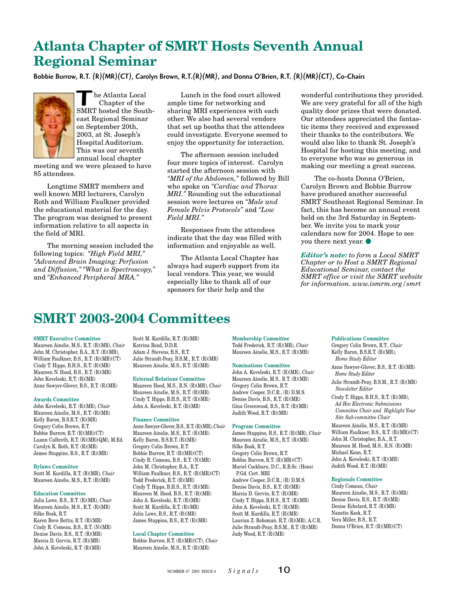# **Atlanta Chapter of SMRT Hosts Seventh Annual Regional Seminar**

Bobbie Burrow, R.T. (R)(MR)(CT), Carolyn Brown, R.T.(R)(MR), and Donna O'Brien, R.T. (R)(MR)(CT), Co-Chairs



The Atlanta Local<br>Chapter of the<br>SMRT hosted the South- Chapter of the east Regional Seminar on September 20th, 2003, at St. Joseph's Hospital Auditorium. This was our seventh annual local chapter

meeting and we were pleased to have 85 attendees.

Longtime SMRT members and well known MRI lecturers, Carolyn Roth and William Faulkner provided the educational material for the day. The program was designed to present information relative to all aspects in the field of MRI.

The morning session included the following topics: *"High Field MRI," "Advanced Brain Imaging: Perfusion and Diffusion," "What is Spectroscopy,"* and *"Enhanced Peripheral MRA."*

Lunch in the food court allowed ample time for networking and sharing MRI experiences with each other. We also had several vendors that set up booths that the attendees could investigate. Everyone seemed to enjoy the opportunity for interaction.

The afternoon session included four more topics of interest. Carolyn started the afternoon session with *"MRI of the Abdomen,"* followed by Bill who spoke on *"Cardiac and Thorax MRI."* Rounding out the educational session were lectures on *"Male and Female Pelvis Protocols"* and *"Low Field MRI."*

Responses from the attendees indicate that the day was filled with information and enjoyable as well.

The Atlanta Local Chapter has always had superb support from its local vendors. This year, we would especially like to thank all of our sponsors for their help and the

wonderful contributions they provided. We are very grateful for all of the high quality door prizes that were donated. Our attendees appreciated the fantastic items they received and expressed their thanks to the contributors. We would also like to thank St. Joseph's Hospital for hosting this meeting, and to everyone who was so generous in making our meeting a great success.

The co-hosts Donna O'Brien, Carolyn Brown and Bobbie Burrow have produced another successful SMRT Southeast Regional Seminar. In fact, this has become an annual event held on the 3rd Saturday in September. We invite you to mark your calendars now for 2004. Hope to see you there next year.  $\bullet$ 

*Editor's note: to form a Local SMRT Chapter or to Host a SMRT Regional Educational Seminar, contact the SMRT office or visit the SMRT website for information. www.ismrm.org/smrt*

# **SMRT 2003-2004 Committees**

#### **SMRT Executive Committee**

Maureen Ainslie, M.S., R.T. (R)(MR), *Chair* John M. Christopher, B.A., R.T. (R)(MR), William Faulkner, B.S., R.T. (R)(MR)(CT) Cindy T. Hipps, B.H.S., R.T. (R)(MR) Maureen N. Hood, B.S., R.T. (R)(MR) John Koveleski, R.T. (R)(MR) Anne Sawyer-Glover, B.S., R.T. (R)(MR)

#### **Awards Committee**

John Koveleski, R.T. (R)(MR)*, Chair* Maureen Ainslie, M.S., R.T. (R)(MR) Kelly Baron, B.S.R.T. (R)(MR) Gregory Colin Brown, R.T. Bobbie Burrow, R.T. (R)(MR)(CT) Luann Culbreth, R.T. (R)(MR)(QM), M.Ed. Carolyn K. Roth, R.T. (R)(MR) James Stuppino, B.S., R.T. (R)(MR)

#### **Bylaws Committee**

Scott M. Kurdilla, R.T. (R)(MR)*, Chair* Maureen Ainslie, M.S., R.T. (R)(MR)

#### **Education Committee**

Julia Lowe, B.S., R.T. (R)(MR), *Chair* Maureen Ainslie, M.S., R.T. (R)(MR) Silke Bosk, R.T. Karen Bove Bettis, R.T. (R)(MR) Cindy R. Comeau, B.S., R.T. (N)(MR) Denise Davis, B.S., R.T. (R)(MR) Marcia D. Gervin, R.T. (R)(MR) John A. Koveleski, R.T. (R)(MR)

Scott M. Kurdilla, R.T. (R)(MR) Katrina Read, D.D.R. Adam J. Stevens, B.S., R.T. Julie Strandt-Peay, B.S.M., R.T. (R)(MR) Maureen Ainslie, M.S., R.T. (R)(MR)

#### **External Relations Committee**

Maureen Hood, M.S., R.N. (R)(MR), *Chair* Maureen Ainslie, M.S., R.T. (R)(MR) Cindy T. Hipps, B.H.S., R.T. (R)(MR) John A. Koveleski, R.T. (R)(MR)

#### **Finance Committee**

Anne Sawyer-Glover, B.S., R.T. (R)(MR), *Chair* Maureen Ainslie, M.S., R.T. (R)(MR) Kelly Baron, B.S.R.T. (R)(MR) Gregory Colin Brown, R.T. Bobbie Burrow, R.T. (R)(MR)(CT) Cindy R. Comeau, B.S., R.T. (N)(MR) John M. Christopher, B.A., R.T. William Faulkner, B.S., R.T. (R)(MR)(CT) Todd Frederick, R.T. (R)(MR) Cindy T. Hipps, B.H.S., R.T. (R)(MR) Maureen M. Hood, B.S., R.T. (R)(MR) John A. Koveleski, R.T. (R)(MR) Scott M. Kurdilla, R.T. (R)(MR) Julia Lowe, B.S., R.T. (R)(MR) James Stuppino, B.S., R.T. (R)(MR)

#### **Local Chapter Committee**

Bobbie Burrow, R.T. (R)(MR)(CT), *Chair* Maureen Ainslie, M.S., R.T. (R)(MR)

**Membership Committee**

Todd Frederick, R.T. (R)(MR), *Chair* Maureen Ainslie, M.S., R.T. (R)(MR)

#### **Nominations Committee**

John A. Koveleski, R.T. (R)(MR), *Chair* Maureen Ainslie, M.S., R.T. (R)(MR) Gregory Colin Brown, R.T. Andrew Cooper, D.C.R., (R) D.M.S. Denise Davis, B.S., R.T. (R)(MR) Gina Greenwood, B.S., R.T. (R)(MR) Judith Wood, R.T. (R)(MR)

#### **Program Committee**

James Stuppino, B.S., R.T. (R)(MR), *Chair* Maureen Ainslie, M.S., R.T. (R)(MR) Silke Bosk, R.T. Gregory Colin Brown, R.T. Bobbie Burrow, R.T. (R)(MR)(CT) Muriel Cockburn, D.C., R.B.Sc. (Hons) P.Gd. Cert. MRI Andrew Cooper, D.C.R., (R) D.M.S. Denise Davis, B.S., R.T. (R)(MR) Marcia D. Gervin, R.T. (R)(MR) Cindy T. Hipps, B.H.S., R.T. (R)(MR) John A. Koveleski, R.T. (R)(MR) Scott M. Kurdilla, R.T. (R)(MR) Laurian Z. Rohoman, R.T. (R)(MR), A.C.R. Julie Strandt-Peay, B.S.M., R.T. (R)(MR) Judy Wood, R.T. (R)(MR)

#### **Publications Committee**

Gregory Colin Brown, R.T., *Chair* Kelly Baron, B.S.R.T. (R)(MR), *Home Study Editor* Anne Sawyer-Glover, B.S., R.T. (R)(MR)

*Home Study Editor*

Julie Strandt-Peay, B.S.M., R.T. (R)(MR) *Newsletter Editor*

Cindy T. Hipps, B.H.S., R.T. (R)(MR), *Ad Hoc Electronic Submissions Committee Chair and Highlight Your Site Sub-committee Chair*

Maureen Ainslie, M.S., R.T. (R)(MR) William Faulkner, B.S., R.T. (R)(MR)(CT) John M. Christopher, B.A., R.T. Maureen M. Hood, M.S., R.N. (R)(MR) Michael Kean, R.T. John A. Koveleski, R.T. (R)(MR) Judith Wood, R.T. (R)(MR)

#### **Regionals Committee**

Cindy Comeau, *Chair* Maureen Ainslie, M.S., R.T. (R)(MR) Denise Davis, B.S., R.T. (R)(MR) Denise Echelard, R.T. (R)(MR) Nanette Keck, R.T. Vera Miller, B.S., R.T. Donna O'Brien, R.T. (R)(MR)(CT)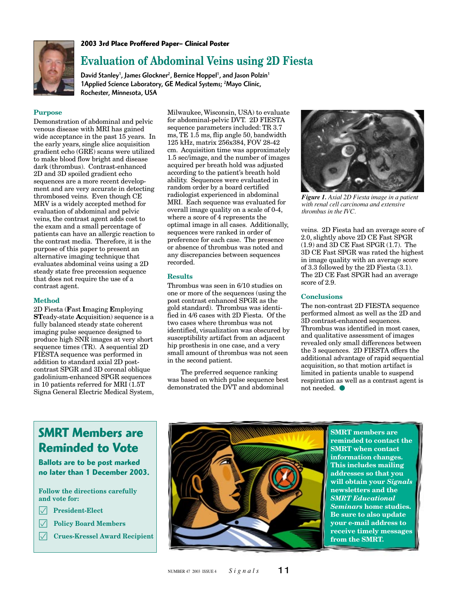

#### **2003 3rd Place Proffered Paper– Clinical Poster**

### **Evaluation of Abdominal Veins using 2D Fiesta**

David Stanley<sup>1</sup>, James Glockner<sup>2</sup>, Bernice Hoppel<sup>1</sup>, and Jason Polzin<sup>1</sup> 1 Applied Science Laboratory, GE Medical Systems; <sup>2</sup> Mayo Clinic, Rochester, Minnesota, USA

#### **Purpose**

Demonstration of abdominal and pelvic venous disease with MRI has gained wide acceptance in the past 15 years. In the early years, single slice acquisition gradient echo (GRE) scans were utilized to make blood flow bright and disease dark (thrombus). Contrast-enhanced 2D and 3D spoiled gradient echo sequences are a more recent development and are very accurate in detecting thrombosed veins. Even though CE MRV is a widely accepted method for evaluation of abdominal and pelvic veins, the contrast agent adds cost to the exam and a small percentage of patients can have an allergic reaction to the contrast media. Therefore, it is the purpose of this paper to present an alternative imaging technique that evaluates abdominal veins using a 2D steady state free precession sequence that does not require the use of a contrast agent.

#### **Method**

2D Fiesta (**F**ast **I**maging **E**mploying **ST**eady-state **A**cquisition) sequence is a fully balanced steady state coherent imaging pulse sequence designed to produce high SNR images at very short sequence times (TR). A sequential 2D FIESTA sequence was performed in addition to standard axial 2D postcontrast SPGR and 3D coronal oblique gadolinium-enhanced SPGR sequences in 10 patients referred for MRI (1.5T Signa General Electric Medical System,

Milwaukee, Wisconsin, USA) to evaluate for abdominal-pelvic DVT. 2D FIESTA sequence parameters included: TR 3.7 ms, TE 1.5 ms, flip angle 50, bandwidth 125 kHz, matrix 256x384, FOV 28-42 cm. Acquisition time was approximately 1.5 sec/image, and the number of images acquired per breath hold was adjusted according to the patient's breath hold ability. Sequences were evaluated in random order by a board certified radiologist experienced in abdominal MRI. Each sequence was evaluated for overall image quality on a scale of 0-4, where a score of 4 represents the optimal image in all cases. Additionally, sequences were ranked in order of preference for each case. The presence or absence of thrombus was noted and any discrepancies between sequences recorded.

#### **Results**

Thrombus was seen in 6/10 studies on one or more of the sequences (using the post contrast enhanced SPGR as the gold standard). Thrombus was identified in 4/6 cases with 2D Fiesta. Of the two cases where thrombus was not identified, visualization was obscured by susceptibility artifact from an adjacent hip prosthesis in one case, and a very small amount of thrombus was not seen in the second patient.

The preferred sequence ranking was based on which pulse sequence best demonstrated the DVT and abdominal



*Figure 1. Axial 2D Fiesta image in a patient with renal cell carcinoma and extensive thrombus in the IVC.*

veins. 2D Fiesta had an average score of 2.0, slightly above 2D CE Fast SPGR (1.9) and 3D CE Fast SPGR (1.7). The 3D CE Fast SPGR was rated the highest in image quality with an average score of 3.3 followed by the 2D Fiesta (3.1). The 2D CE Fast SPGR had an average score of 2.9.

#### **Conclusions**

The non-contrast 2D FIESTA sequence performed almost as well as the 2D and 3D contrast-enhanced sequences. Thrombus was identified in most cases, and qualitative assessment of images revealed only small differences between the 3 sequences. 2D FIESTA offers the additional advantage of rapid sequential acquisition, so that motion artifact is limited in patients unable to suspend respiration as well as a contrast agent is  $not needed.$   $\bullet$ 

### **SMRT Members are Reminded to Vote**

**Ballots are to be post marked no later than 1 December 2003.**

#### **Follow the directions carefully and vote for:**

- **President-Elect**
- **Policy Board Members**
- **Crues-Kressel Award Recipient**



**SMRT members are reminded to contact the SMRT when contact information changes. This includes mailing addresses so that you will obtain your** *Signals* **newsletters and the** *SMRT Educational Seminars* **home studies. Be sure to also update your e-mail address to receive timely messages from the SMRT.**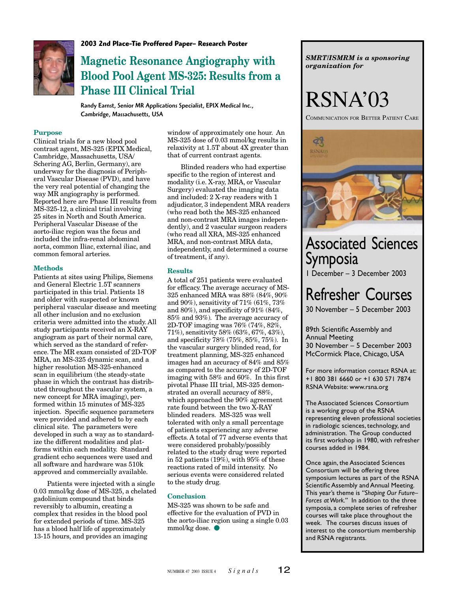

**2003 2nd Place-Tie Proffered Paper– Research Poster**

# **Magnetic Resonance Angiography with Blood Pool Agent MS-325: Results from a Phase III Clinical Trial**

Randy Earnst, Senior MR Applications Specialist, EPIX Medical Inc., Cambridge, Massachusetts, USA

#### **Purpose**

Clinical trials for a new blood pool contrast agent, MS-325 (EPIX Medical, Cambridge, Massachusetts, USA/ Schering AG, Berlin, Germany), are underway for the diagnosis of Peripheral Vascular Disease (PVD), and have the very real potential of changing the way MR angiography is performed. Reported here are Phase III results from MS-325-12, a clinical trial involving 25 sites in North and South America. Peripheral Vascular Disease of the aorto-iliac region was the focus and included the infra-renal abdominal aorta, common Iliac, external iliac, and common femoral arteries.

#### **Methods**

Patients at sites using Philips, Siemens and General Electric 1.5T scanners participated in this trial. Patients 18 and older with suspected or known peripheral vascular disease and meeting all other inclusion and no exclusion criteria were admitted into the study. All study participants received an X-RAY angiogram as part of their normal care, which served as the standard of reference. The MR exam consisted of 2D-TOF MRA, an MS-325 dynamic scan, and a higher resolution MS-325-enhanced scan in equilibrium (the steady-state phase in which the contrast has distributed throughout the vascular system, a new concept for MRA imaging), performed within 15 minutes of MS-325 injection. Specific sequence parameters were provided and adhered to by each clinical site. The parameters were developed in such a way as to standardize the different modalities and platforms within each modality. Standard gradient echo sequences were used and all software and hardware was 510k approved and commercially available.

Patients were injected with a single 0.03 mmol/kg dose of MS-325, a chelated gadolinium compound that binds reversibly to albumin, creating a complex that resides in the blood pool for extended periods of time. MS-325 has a blood half life of approximately 13-15 hours, and provides an imaging

window of approximately one hour. An MS-325 dose of 0.03 mmol/kg results in relaxivity at 1.5T about 4X greater than that of current contrast agents.

Blinded readers who had expertise specific to the region of interest and modality (i.e. X-ray, MRA, or Vascular Surgery) evaluated the imaging data and included: 2 X-ray readers with 1 adjudicator, 3 independent MRA readers (who read both the MS-325 enhanced and non-contrast MRA images independently), and 2 vascular surgeon readers (who read all XRA, MS-325 enhanced MRA, and non-contrast MRA data, independently, and determined a course of treatment, if any).

#### **Results**

A total of 251 patients were evaluated for efficacy. The average accuracy of MS-325 enhanced MRA was 88% (84%, 90% and 90%), sensitivity of 71% (61%, 73% and 80%), and specificity of 91% (84%, 85% and 93%). The average accuracy of 2D-TOF imaging was 76% (74%, 82%, 71%), sensitivity 58% (63%, 67%, 43%), and specificity 78% (75%, 85%, 75%). In the vascular surgery blinded read, for treatment planning, MS-325 enhanced images had an accuracy of 84% and 85% as compared to the accuracy of 2D-TOF imaging with 58% and 60%. In this first pivotal Phase III trial, MS-325 demonstrated an overall accuracy of 88%, which approached the 90% agreement rate found between the two X-RAY blinded readers. MS-325 was well tolerated with only a small percentage of patients experiencing any adverse effects. A total of 77 adverse events that were considered probably/possibly related to the study drug were reported in 52 patients (19%), with 95% of these reactions rated of mild intensity. No serious events were considered related to the study drug.

#### **Conclusion**

MS-325 was shown to be safe and effective for the evaluation of PVD in the aorto-iliac region using a single 0.03 mmol/kg dose.  $\bullet$ 

*SMRT/ISMRM is a sponsoring organization for*

# RSNA'03

COMMUNICATION FOR BETTER PATIENT CARE



# Associated Sciences Symposia

1 December – 3 December 2003

# Refresher Courses

30 November – 5 December 2003

89th Scientific Assembly and Annual Meeting 30 November – 5 December 2003 McCormick Place, Chicago, USA

For more information contact RSNA at: +1 800 381 6660 or +1 630 571 7874 RSNA Website: www.rsna.org

The Associated Sciences Consortium is a working group of the RSNA representing eleven professional societies in radiologic sciences, technology, and administration. The Group conducted its first workshop in 1980, with refresher courses added in 1984.

Once again, the Associated Sciences Consortium will be offering three symposium lectures as part of the RSNA Scientific Assembly and Annual Meeting. This year's theme is *"Shaping Our Future– Forces at Work."* In addition to the three symposia, a complete series of refresher courses will take place throughout the week. The courses discuss issues of interest to the consortium membership and RSNA registrants.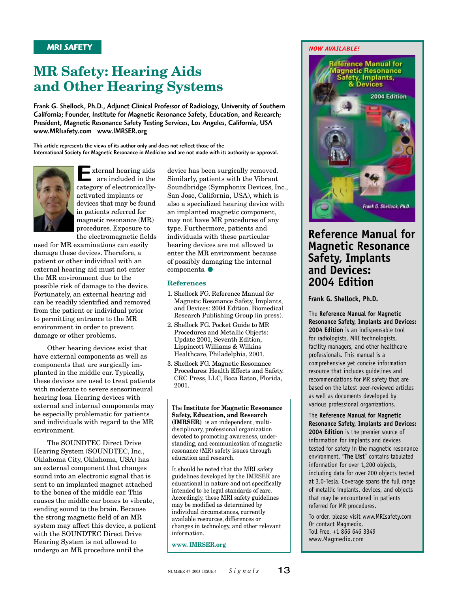# **MR Safety: Hearing Aids and Other Hearing Systems**

Frank G. Shellock, Ph.D., Adjunct Clinical Professor of Radiology, University of Southern California; Founder, Institute for Magnetic Resonance Safety, Education, and Research; President, Magnetic Resonance Safety Testing Services, Los Angeles, California, USA www.MRIsafety.com www.IMRSER.org

This article represents the views of its author only and does not reflect those of the International Society for Magnetic Resonance in Medicine and are not made with its authority or approval.



E xternal hearing aids are included in the category of electronicallyactivated implants or devices that may be found in patients referred for magnetic resonance (MR) procedures. Exposure to the electromagnetic fields

used for MR examinations can easily damage these devices. Therefore, a patient or other individual with an external hearing aid must not enter the MR environment due to the possible risk of damage to the device. Fortunately, an external hearing aid can be readily identified and removed from the patient or individual prior to permitting entrance to the MR environment in order to prevent damage or other problems.

Other hearing devices exist that have external components as well as components that are surgically implanted in the middle ear. Typically, these devices are used to treat patients with moderate to severe sensorineural hearing loss. Hearing devices with external and internal components may be especially problematic for patients and individuals with regard to the MR environment.

The SOUNDTEC Direct Drive Hearing System (SOUNDTEC, Inc., Oklahoma City, Oklahoma, USA) has an external component that changes sound into an electronic signal that is sent to an implanted magnet attached to the bones of the middle ear. This causes the middle ear bones to vibrate, sending sound to the brain. Because the strong magnetic field of an MR system may affect this device, a patient with the SOUNDTEC Direct Drive Hearing System is not allowed to undergo an MR procedure until the

device has been surgically removed. Similarly, patients with the Vibrant Soundbridge (Symphonix Devices, Inc., San Jose, California, USA), which is also a specialized hearing device with an implanted magnetic component, may not have MR procedures of any type. Furthermore, patients and individuals with these particular hearing devices are not allowed to enter the MR environment because of possibly damaging the internal  $components.$   $\bullet$ 

#### **References**

- 1. Shellock FG. Reference Manual for Magnetic Resonance Safety, Implants, and Devices: 2004 Edition. Biomedical Research Publishing Group (in press).
- 2. Shellock FG. Pocket Guide to MR Procedures and Metallic Objects: Update 2001, Seventh Edition, Lippincott Williams & Wilkins Healthcare, Philadelphia, 2001.
- 3. Shellock FG. Magnetic Resonance Procedures: Health Effects and Safety. CRC Press, LLC, Boca Raton, Florida, 2001.

The **Institute for Magnetic Resonance Safety, Education, and Research (IMRSER)** is an independent, multidisciplinary, professional organization devoted to promoting awareness, understanding, and communication of magnetic resonance (MR) safety issues through education and research.

It should be noted that the MRI safety guidelines developed by the IMRSER are educational in nature and not specifically intended to be legal standards of care. Accordingly, these MRI safety guidelines may be modified as determined by individual circumstances, currently available resources, differences or changes in technology, and other relevant information.

**www. IMRSER.org**

#### *NOW AVAILABLE!*



### **Reference Manual for Magnetic Resonance Safety, Implants and Devices: 2004 Edition**

**Frank G. Shellock, Ph.D.**

The **Reference Manual for Magnetic Resonance Safety, Implants and Devices: 2004 Edition** is an indispensable tool for radiologists, MRI technologists, facility managers, and other healthcare professionals. This manual is a comprehensive yet concise information resource that includes guidelines and recommendations for MR safety that are based on the latest peer-reviewed articles as well as documents developed by various professional organizations.

The **Reference Manual for Magnetic Resonance Safety, Implants and Devices: 2004 Edition** is the premier source of information for implants and devices tested for safety in the magnetic resonance environment. "**The List**" contains tabulated information for over 1,200 objects, including data for over 200 objects tested at 3.0-Tesla. Coverage spans the full range of metallic implants, devices, and objects that may be encountered in patients referred for MR procedures.

To order, please visit www.MRIsafety.com Or contact Magmedix, Toll Free, +1 866 646 3349 www.Magmedix.com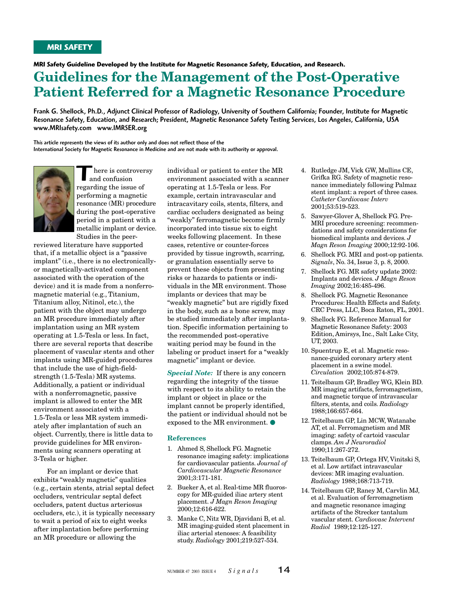**MRI Safety Guideline Developed by the Institute for Magnetic Resonance Safety, Education, and Research.**

## **Guidelines for the Management of the Post-Operative Patient Referred for a Magnetic Resonance Procedure**

Frank G. Shellock, Ph.D., Adjunct Clinical Professor of Radiology, University of Southern California; Founder, Institute for Magnetic Resonance Safety, Education, and Research; President, Magnetic Resonance Safety Testing Services, Los Angeles, California, USA www.MRIsafety.com www.IMRSER.org

This article represents the views of its author only and does not reflect those of the International Society for Magnetic Resonance in Medicine and are not made with its authority or approval.



There is controver<br>and confusion<br>regarding the issue of here is controversy and confusion performing a magnetic resonance (MR) procedure during the post-operative period in a patient with a metallic implant or device. Studies in the peer-

reviewed literature have supported that, if a metallic object is a "passive implant" (i.e., there is no electronicallyor magnetically-activated component associated with the operation of the device) and it is made from a nonferromagnetic material (e.g., Titanium, Titanium alloy, Nitinol, etc.), the patient with the object may undergo an MR procedure immediately after implantation using an MR system operating at 1.5-Tesla or less. In fact, there are several reports that describe placement of vascular stents and other implants using MR-guided procedures that include the use of high-fieldstrength (1.5-Tesla) MR systems. Additionally, a patient or individual with a nonferromagnetic, passive implant is allowed to enter the MR environment associated with a 1.5-Tesla or less MR system immediately after implantation of such an object. Currently, there is little data to provide guidelines for MR environments using scanners operating at 3-Tesla or higher.

For an implant or device that exhibits "weakly magnetic" qualities (e.g., certain stents, atrial septal defect occluders, ventricular septal defect occluders, patent ductus arteriosus occluders, etc.), it is typically necessary to wait a period of six to eight weeks after implantation before performing an MR procedure or allowing the

individual or patient to enter the MR environment associated with a scanner operating at 1.5-Tesla or less. For example, certain intravascular and intracavitary coils, stents, filters, and cardiac occluders designated as being "weakly" ferromagnetic become firmly incorporated into tissue six to eight weeks following placement. In these cases, retentive or counter-forces provided by tissue ingrowth, scarring, or granulation essentially serve to prevent these objects from presenting risks or hazards to patients or individuals in the MR environment. Those implants or devices that may be "weakly magnetic" but are rigidly fixed in the body, such as a bone screw, may be studied immediately after implantation. Specific information pertaining to the recommended post-operative waiting period may be found in the labeling or product insert for a "weakly magnetic" implant or device.

*Special Note:* If there is any concern regarding the integrity of the tissue with respect to its ability to retain the implant or object in place or the implant cannot be properly identified, the patient or individual should not be exposed to the MR environment.  $\bullet$ 

#### **References**

- 1. Ahmed S, Shellock FG. Magnetic resonance imaging safety: implications for cardiovascular patients. *Journal of Cardiovascular Magnetic Resonance* 2001;3:171-181.
- 2. Bueker A, et al. Real-time MR fluoroscopy for MR-guided iliac artery stent placement. *J Magn Reson Imaging* 2000;12:616-622.
- 3. Manke C, Nitz WR, Djavidani B, et al. MR imaging-guided stent placement in iliac arterial stenoses: A feasibility study. *Radiology* 2001;219:527-534.
- 4. Rutledge JM, Vick GW, Mullins CE, Grifka RG. Safety of magnetic resonance immediately following Palmaz stent implant: a report of three cases. *Catheter Cardiovasc Interv* 2001;53:519-523.
- 5. Sawyer-Glover A, Shellock FG. Pre-MRI procedure screening: recommendations and safety considerations for biomedical implants and devices. *J Magn Reson Imaging* 2000;12:92-106.
- 6. Shellock FG. MRI and post-op patients. *Signals*, No. 34, Issue 3, p. 8, 2000.
- 7. Shellock FG. MR safety update 2002: Implants and devices. *J Magn Reson Imaging* 2002;16:485-496.
- 8. Shellock FG. Magnetic Resonance Procedures: Health Effects and Safety. CRC Press, LLC, Boca Raton, FL, 2001.
- 9. Shellock FG. Reference Manual for Magnetic Resonance Safety: 2003 Edition, Amirsys, Inc., Salt Lake City, UT, 2003.
- 10. Spuentrup E, et al. Magnetic resonance-guided coronary artery stent placement in a swine model. *Circulation* 2002;105:874-879.
- 11. Teitelbaum GP, Bradley WG, Klein BD. MR imaging artifacts, ferromagnetism, and magnetic torque of intravascular filters, stents, and coils. *Radiology* 1988;166:657-664.
- 12. Teitelbaum GP, Lin MCW, Watanabe AT, et al. Ferromagnetism and MR imaging: safety of cartoid vascular clamps. *Am J Neuroradiol* 1990;11:267-272.
- 13. Teitelbaum GP, Ortega HV, Vinitski S, et al. Low artifact intravascular devices: MR imaging evaluation. *Radiology* 1988;168:713-719.
- 14. Teitelbaum GP, Raney M, Carvlin MJ, et al. Evaluation of ferromagnetism and magnetic resonance imaging artifacts of the Strecker tantalum vascular stent. *Cardiovasc Intervent Radiol* 1989;12:125-127.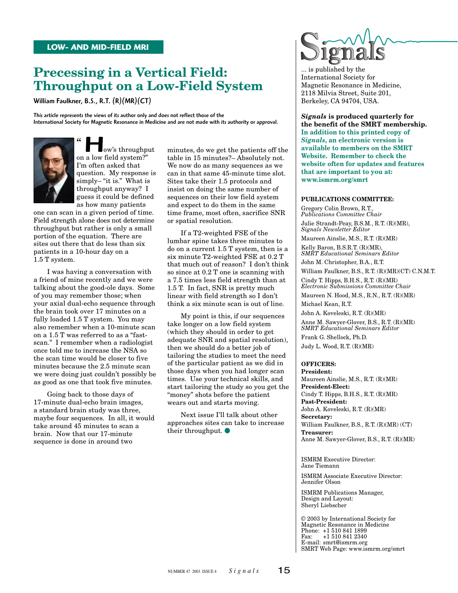### **Precessing in a Vertical Field: Throughput on a Low-Field System**

William Faulkner, B.S., R.T. (R)(MR)(CT)

This article represents the views of its author only and does not reflect those of the International Society for Magnetic Resonance in Medicine and are not made with its authority or approval.



 $\begin{array}{c} \begin{array}{c} \begin{array}{c} \text{iv} \\ \text{iv} \end{array} \end{array}$  a low field system?" ow's throughput I'm often asked that question. My response is simply– "it is." What is throughput anyway? I guess it could be defined as how many patients  $\frac{1}{2}$ 

one can scan in a given period of time. Field strength alone does not determine throughput but rather is only a small portion of the equation. There are sites out there that do less than six patients in a 10-hour day on a 1.5 T system.

I was having a conversation with a friend of mine recently and we were talking about the good-ole days. Some of you may remember those; when your axial dual-echo sequence through the brain took over 17 minutes on a fully loaded 1.5 T system. You may also remember when a 10-minute scan on a 1.5 T was referred to as a "fastscan." I remember when a radiologist once told me to increase the NSA so the scan time would be closer to five minutes because the 2.5 minute scan we were doing just couldn't possibly be as good as one that took five minutes.

Going back to those days of 17-minute dual-echo brain images, a standard brain study was three, maybe four sequences. In all, it would take around 45 minutes to scan a brain. Now that our 17-minute sequence is done in around two

minutes, do we get the patients off the table in 15 minutes?– Absolutely not. We now do as many sequences as we can in that same 45-minute time slot. Sites take their 1.5 protocols and insist on doing the same number of sequences on their low field system and expect to do them in the same time frame, most often, sacrifice SNR or spatial resolution.

If a T2-weighted FSE of the lumbar spine takes three minutes to do on a current 1.5 T system, then is a six minute T2-weighted FSE at 0.2 T that much out of reason? I don't think so since at 0.2 T one is scanning with a 7.5 times less field strength than at 1.5 T. In fact, SNR is pretty much linear with field strength so I don't think a six minute scan is out of line.

My point is this, if our sequences take longer on a low field system (which they should in order to get adequate SNR and spatial resolution), then we should do a better job of tailoring the studies to meet the need of the particular patient as we did in those days when you had longer scan times. Use your technical skills, and start tailoring the study so you get the "money" shots before the patient wears out and starts moving.

Next issue I'll talk about other approaches sites can take to increase their throughput.  $\bullet$ 



... is published by the International Society for Magnetic Resonance in Medicine, 2118 Milvia Street, Suite 201, Berkeley, CA 94704, USA.

*Signals* **is produced quarterly for the benefit of the SMRT membership. In addition to this printed copy of** *Signals***, an electronic version is available to members on the SMRT Website. Remember to check the website often for updates and features that are important to you at: www.ismrm.org/smrt**

#### **PUBLICATIONS COMMITTEE:**

Gregory Colin Brown, R.T., *Publications Committee Chair* Julie Strandt-Peay, B.S.M., R.T. (R)(MR), *Signals Newsletter Editor* Maureen Ainslie, M.S., R.T. (R)(MR) Kelly Baron, B.S.R.T. (R)(MR), *SMRT Educational Seminars Editor* John M. Christopher, B.A., R.T. William Faulkner, B.S., R.T. (R)(MR)(CT) C.N.M.T. Cindy T. Hipps, B.H.S., R.T. (R)(MR) *Electronic Submissions Committee Chair* Maureen N. Hood, M.S., R.N., R.T. (R)(MR) Michael Kean, R.T. John A. Koveleski, R.T. (R)(MR) Anne M. Sawyer-Glover, B.S., R.T. (R)(MR) *SMRT Educational Seminars Editor* Frank G. Shellock, Ph.D. Judy L. Wood, R.T. (R)(MR)

#### **OFFICERS:**

**President:** Maureen Ainslie, M.S., R.T. (R)(MR) **President-Elect:** Cindy T. Hipps, B.H.S., R.T. (R)(MR) **Past-President:** John A. Koveleski, R.T. (R)(MR) **Secretary:** William Faulkner, B.S., R.T. (R)(MR) (CT) **Treasurer:** Anne M. Sawyer-Glover, B.S., R.T. (R)(MR)

ISMRM Executive Director: Jane Tiemann

ISMRM Associate Executive Director: Jennifer Olson

ISMRM Publications Manager, Design and Layout: Sheryl Liebscher

© 2003 by International Society for Magnetic Resonance in Medicine Phone: +1 510 841 1899 Fax: +1 510 841 2340 E-mail: smrt@ismrm.org SMRT Web Page: www.ismrm.org/smrt